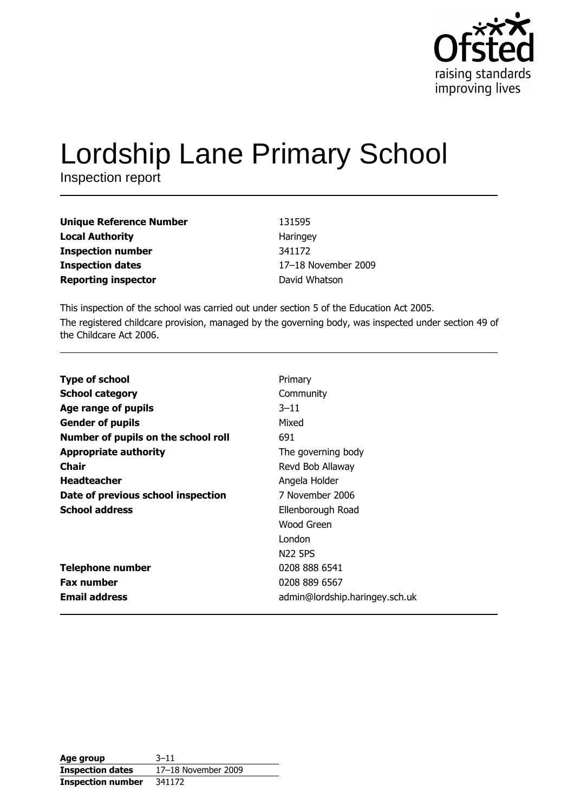

# **Lordship Lane Primary School**

Inspection report

| <b>Unique Reference Number</b> | 131595         |
|--------------------------------|----------------|
| <b>Local Authority</b>         | Haringey       |
| <b>Inspection number</b>       | 341172         |
| <b>Inspection dates</b>        | 17-18 November |
| <b>Reporting inspector</b>     | David Whatson  |

This inspection of the school was carried out under section 5 of the Education Act 2005. The registered childcare provision, managed by the governing body, was inspected under section 49 of the Childcare Act 2006.

2009

| <b>Type of school</b>               | Primary                        |
|-------------------------------------|--------------------------------|
| <b>School category</b>              | Community                      |
| Age range of pupils                 | $3 - 11$                       |
| <b>Gender of pupils</b>             | Mixed                          |
| Number of pupils on the school roll | 691                            |
| <b>Appropriate authority</b>        | The governing body             |
| Chair                               | Revd Bob Allaway               |
| <b>Headteacher</b>                  | Angela Holder                  |
| Date of previous school inspection  | 7 November 2006                |
| <b>School address</b>               | Ellenborough Road              |
|                                     | Wood Green                     |
|                                     | London                         |
|                                     | <b>N22 5PS</b>                 |
| <b>Telephone number</b>             | 0208 888 6541                  |
| <b>Fax number</b>                   | 0208 889 6567                  |
| <b>Email address</b>                | admin@lordship.haringey.sch.uk |

| Age group                | $3 - 11$            |
|--------------------------|---------------------|
| <b>Inspection dates</b>  | 17-18 November 2009 |
| <b>Inspection number</b> | 341172              |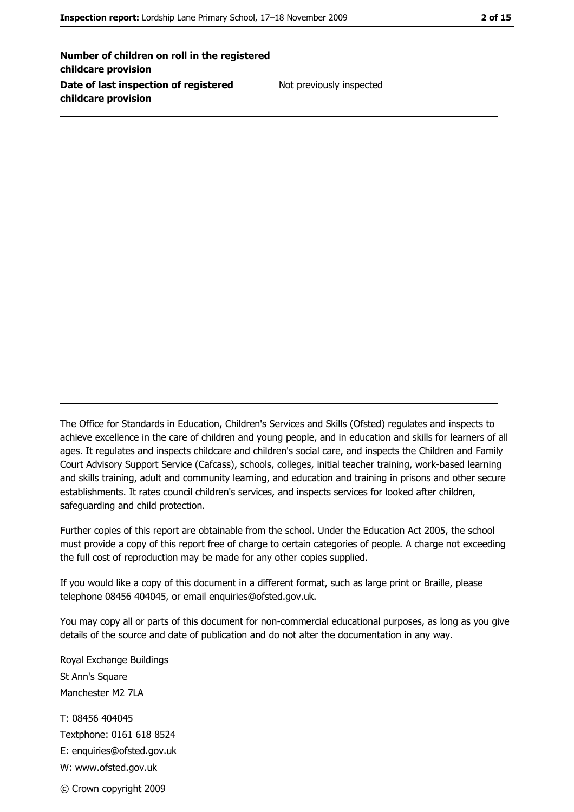Number of children on roll in the registered childcare provision Date of last inspection of registered childcare provision

Not previously inspected

The Office for Standards in Education, Children's Services and Skills (Ofsted) regulates and inspects to achieve excellence in the care of children and young people, and in education and skills for learners of all ages. It regulates and inspects childcare and children's social care, and inspects the Children and Family Court Advisory Support Service (Cafcass), schools, colleges, initial teacher training, work-based learning and skills training, adult and community learning, and education and training in prisons and other secure establishments. It rates council children's services, and inspects services for looked after children, safequarding and child protection.

Further copies of this report are obtainable from the school. Under the Education Act 2005, the school must provide a copy of this report free of charge to certain categories of people. A charge not exceeding the full cost of reproduction may be made for any other copies supplied.

If you would like a copy of this document in a different format, such as large print or Braille, please telephone 08456 404045, or email enquiries@ofsted.gov.uk.

You may copy all or parts of this document for non-commercial educational purposes, as long as you give details of the source and date of publication and do not alter the documentation in any way.

Royal Exchange Buildings St Ann's Square Manchester M2 7LA T: 08456 404045 Textphone: 0161 618 8524 E: enquiries@ofsted.gov.uk W: www.ofsted.gov.uk © Crown copyright 2009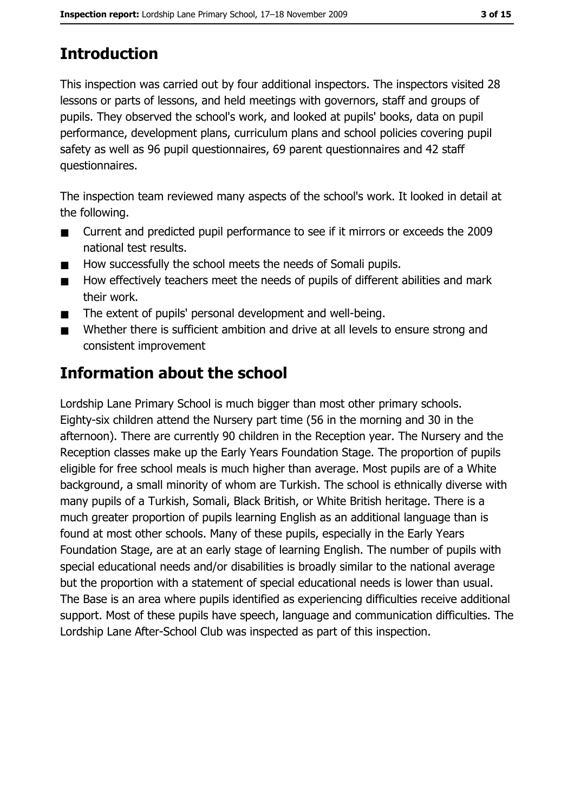# **Introduction**

This inspection was carried out by four additional inspectors. The inspectors visited 28 lessons or parts of lessons, and held meetings with governors, staff and groups of pupils. They observed the school's work, and looked at pupils' books, data on pupil performance, development plans, curriculum plans and school policies covering pupil safety as well as 96 pupil questionnaires, 69 parent questionnaires and 42 staff questionnaires.

The inspection team reviewed many aspects of the school's work. It looked in detail at the following.

- $\blacksquare$ Current and predicted pupil performance to see if it mirrors or exceeds the 2009 national test results.
- How successfully the school meets the needs of Somali pupils.  $\blacksquare$
- How effectively teachers meet the needs of pupils of different abilities and mark  $\blacksquare$ their work.
- The extent of pupils' personal development and well-being.  $\blacksquare$
- Whether there is sufficient ambition and drive at all levels to ensure strong and  $\blacksquare$ consistent improvement

# Information about the school

Lordship Lane Primary School is much bigger than most other primary schools. Eighty-six children attend the Nursery part time (56 in the morning and 30 in the afternoon). There are currently 90 children in the Reception year. The Nursery and the Reception classes make up the Early Years Foundation Stage. The proportion of pupils eligible for free school meals is much higher than average. Most pupils are of a White background, a small minority of whom are Turkish. The school is ethnically diverse with many pupils of a Turkish, Somali, Black British, or White British heritage. There is a much greater proportion of pupils learning English as an additional language than is found at most other schools. Many of these pupils, especially in the Early Years Foundation Stage, are at an early stage of learning English. The number of pupils with special educational needs and/or disabilities is broadly similar to the national average but the proportion with a statement of special educational needs is lower than usual. The Base is an area where pupils identified as experiencing difficulties receive additional support. Most of these pupils have speech, language and communication difficulties. The Lordship Lane After-School Club was inspected as part of this inspection.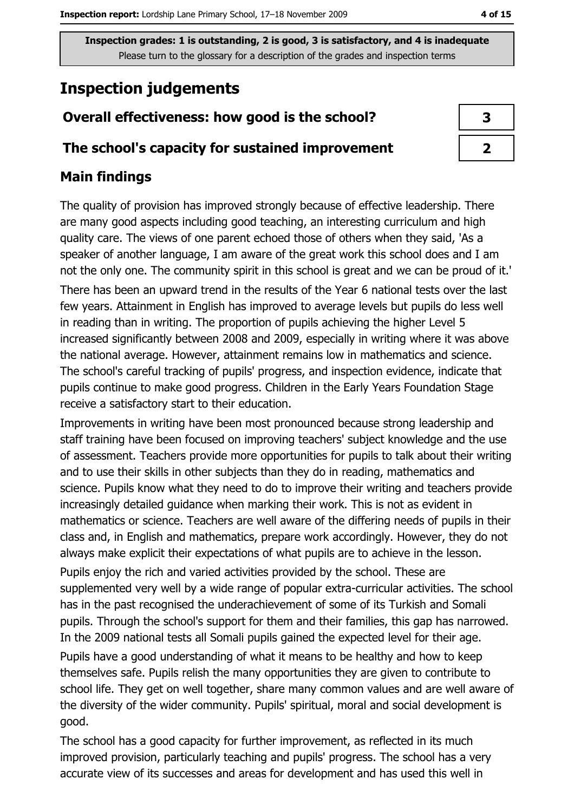# **Inspection judgements**

## Overall effectiveness: how good is the school?

#### The school's capacity for sustained improvement

## **Main findings**

The quality of provision has improved strongly because of effective leadership. There are many good aspects including good teaching, an interesting curriculum and high quality care. The views of one parent echoed those of others when they said, 'As a speaker of another language, I am aware of the great work this school does and I am not the only one. The community spirit in this school is great and we can be proud of it.' There has been an upward trend in the results of the Year 6 national tests over the last few years. Attainment in English has improved to average levels but pupils do less well in reading than in writing. The proportion of pupils achieving the higher Level 5 increased significantly between 2008 and 2009, especially in writing where it was above the national average. However, attainment remains low in mathematics and science. The school's careful tracking of pupils' progress, and inspection evidence, indicate that pupils continue to make good progress. Children in the Early Years Foundation Stage receive a satisfactory start to their education.

Improvements in writing have been most pronounced because strong leadership and staff training have been focused on improving teachers' subject knowledge and the use of assessment. Teachers provide more opportunities for pupils to talk about their writing and to use their skills in other subjects than they do in reading, mathematics and science. Pupils know what they need to do to improve their writing and teachers provide increasingly detailed guidance when marking their work. This is not as evident in mathematics or science. Teachers are well aware of the differing needs of pupils in their class and, in English and mathematics, prepare work accordingly. However, they do not always make explicit their expectations of what pupils are to achieve in the lesson.

Pupils enjoy the rich and varied activities provided by the school. These are supplemented very well by a wide range of popular extra-curricular activities. The school has in the past recognised the underachievement of some of its Turkish and Somali pupils. Through the school's support for them and their families, this gap has narrowed. In the 2009 national tests all Somali pupils gained the expected level for their age.

Pupils have a good understanding of what it means to be healthy and how to keep themselves safe. Pupils relish the many opportunities they are given to contribute to school life. They get on well together, share many common values and are well aware of the diversity of the wider community. Pupils' spiritual, moral and social development is good.

The school has a good capacity for further improvement, as reflected in its much improved provision, particularly teaching and pupils' progress. The school has a very accurate view of its successes and areas for development and has used this well in

| 3 |  |
|---|--|
|   |  |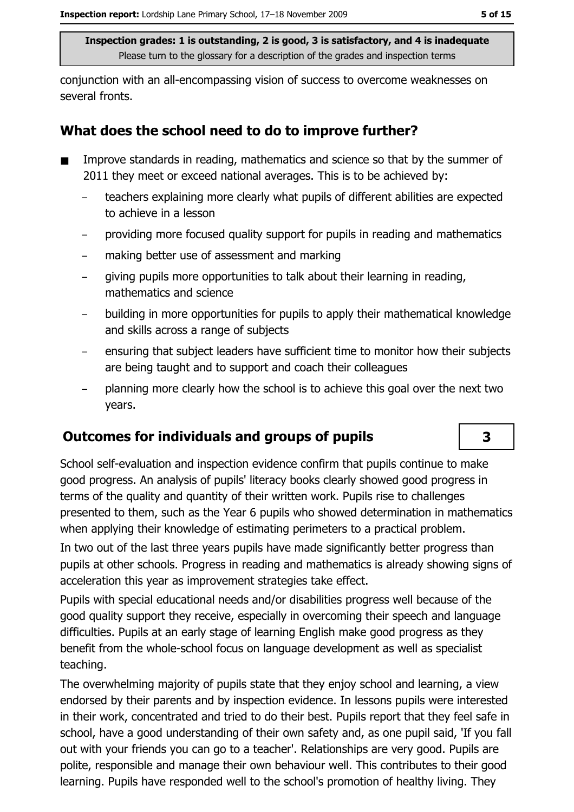conjunction with an all-encompassing vision of success to overcome weaknesses on several fronts.

## What does the school need to do to improve further?

- Improve standards in reading, mathematics and science so that by the summer of  $\blacksquare$ 2011 they meet or exceed national averages. This is to be achieved by:
	- teachers explaining more clearly what pupils of different abilities are expected to achieve in a lesson
	- providing more focused quality support for pupils in reading and mathematics
	- making better use of assessment and marking  $\equiv$
	- giving pupils more opportunities to talk about their learning in reading, mathematics and science
	- building in more opportunities for pupils to apply their mathematical knowledge and skills across a range of subjects
	- ensuring that subject leaders have sufficient time to monitor how their subjects are being taught and to support and coach their colleagues
	- planning more clearly how the school is to achieve this goal over the next two years.

## **Outcomes for individuals and groups of pupils**

School self-evaluation and inspection evidence confirm that pupils continue to make good progress. An analysis of pupils' literacy books clearly showed good progress in terms of the quality and quantity of their written work. Pupils rise to challenges presented to them, such as the Year 6 pupils who showed determination in mathematics when applying their knowledge of estimating perimeters to a practical problem.

In two out of the last three years pupils have made significantly better progress than pupils at other schools. Progress in reading and mathematics is already showing signs of acceleration this year as improvement strategies take effect.

Pupils with special educational needs and/or disabilities progress well because of the good quality support they receive, especially in overcoming their speech and language difficulties. Pupils at an early stage of learning English make good progress as they benefit from the whole-school focus on language development as well as specialist teaching.

The overwhelming majority of pupils state that they enjoy school and learning, a view endorsed by their parents and by inspection evidence. In lessons pupils were interested in their work, concentrated and tried to do their best. Pupils report that they feel safe in school, have a good understanding of their own safety and, as one pupil said, 'If you fall out with your friends you can go to a teacher'. Relationships are very good. Pupils are polite, responsible and manage their own behaviour well. This contributes to their good learning. Pupils have responded well to the school's promotion of healthy living. They

3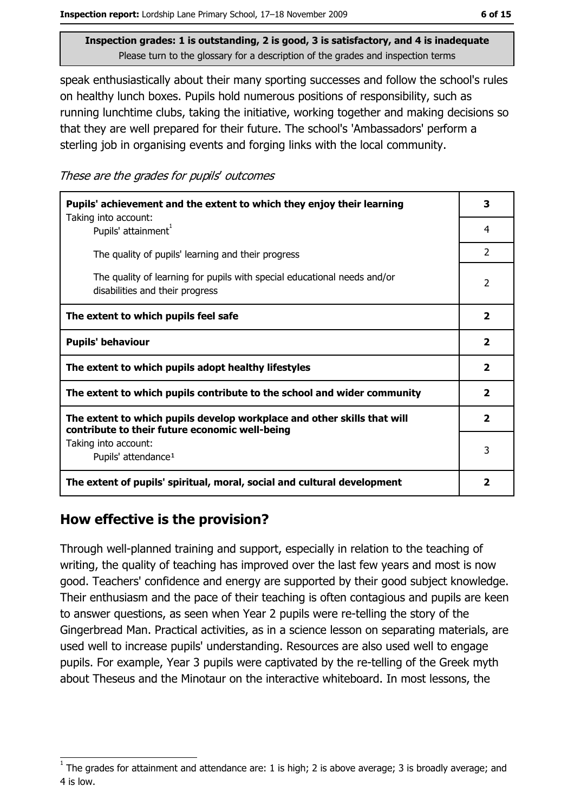speak enthusiastically about their many sporting successes and follow the school's rules on healthy lunch boxes. Pupils hold numerous positions of responsibility, such as running lunchtime clubs, taking the initiative, working together and making decisions so that they are well prepared for their future. The school's 'Ambassadors' perform a sterling job in organising events and forging links with the local community.

These are the grades for pupils' outcomes

| Pupils' achievement and the extent to which they enjoy their learning                                                     |                         |  |
|---------------------------------------------------------------------------------------------------------------------------|-------------------------|--|
| Taking into account:<br>Pupils' attainment <sup>1</sup>                                                                   | 4                       |  |
| The quality of pupils' learning and their progress                                                                        | $\overline{2}$          |  |
| The quality of learning for pupils with special educational needs and/or<br>disabilities and their progress               | $\overline{2}$          |  |
| The extent to which pupils feel safe                                                                                      | $\overline{\mathbf{2}}$ |  |
| <b>Pupils' behaviour</b>                                                                                                  | 2                       |  |
| The extent to which pupils adopt healthy lifestyles                                                                       | $\overline{\mathbf{2}}$ |  |
| The extent to which pupils contribute to the school and wider community                                                   |                         |  |
| The extent to which pupils develop workplace and other skills that will<br>contribute to their future economic well-being | $\overline{\mathbf{2}}$ |  |
| Taking into account:<br>Pupils' attendance <sup>1</sup>                                                                   | 3                       |  |
| The extent of pupils' spiritual, moral, social and cultural development                                                   | $\overline{\mathbf{2}}$ |  |

## How effective is the provision?

Through well-planned training and support, especially in relation to the teaching of writing, the quality of teaching has improved over the last few years and most is now good. Teachers' confidence and energy are supported by their good subject knowledge. Their enthusiasm and the pace of their teaching is often contagious and pupils are keen to answer questions, as seen when Year 2 pupils were re-telling the story of the Gingerbread Man. Practical activities, as in a science lesson on separating materials, are used well to increase pupils' understanding. Resources are also used well to engage pupils. For example, Year 3 pupils were captivated by the re-telling of the Greek myth about Theseus and the Minotaur on the interactive whiteboard. In most lessons, the

The grades for attainment and attendance are: 1 is high; 2 is above average; 3 is broadly average; and 4 is low.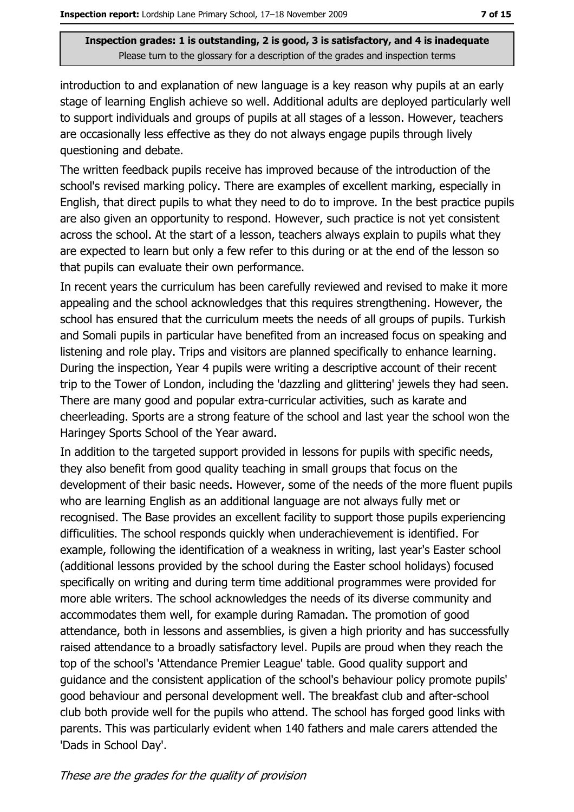introduction to and explanation of new language is a key reason why pupils at an early stage of learning English achieve so well. Additional adults are deployed particularly well to support individuals and groups of pupils at all stages of a lesson. However, teachers are occasionally less effective as they do not always engage pupils through lively questioning and debate.

The written feedback pupils receive has improved because of the introduction of the school's revised marking policy. There are examples of excellent marking, especially in English, that direct pupils to what they need to do to improve. In the best practice pupils are also given an opportunity to respond. However, such practice is not yet consistent across the school. At the start of a lesson, teachers always explain to pupils what they are expected to learn but only a few refer to this during or at the end of the lesson so that pupils can evaluate their own performance.

In recent years the curriculum has been carefully reviewed and revised to make it more appealing and the school acknowledges that this requires strengthening. However, the school has ensured that the curriculum meets the needs of all groups of pupils. Turkish and Somali pupils in particular have benefited from an increased focus on speaking and listening and role play. Trips and visitors are planned specifically to enhance learning. During the inspection, Year 4 pupils were writing a descriptive account of their recent trip to the Tower of London, including the 'dazzling and glittering' jewels they had seen. There are many good and popular extra-curricular activities, such as karate and cheerleading. Sports are a strong feature of the school and last year the school won the Haringey Sports School of the Year award.

In addition to the targeted support provided in lessons for pupils with specific needs, they also benefit from good quality teaching in small groups that focus on the development of their basic needs. However, some of the needs of the more fluent pupils who are learning English as an additional language are not always fully met or recognised. The Base provides an excellent facility to support those pupils experiencing difficulities. The school responds quickly when underachievement is identified. For example, following the identification of a weakness in writing, last year's Easter school (additional lessons provided by the school during the Easter school holidays) focused specifically on writing and during term time additional programmes were provided for more able writers. The school acknowledges the needs of its diverse community and accommodates them well, for example during Ramadan. The promotion of good attendance, both in lessons and assemblies, is given a high priority and has successfully raised attendance to a broadly satisfactory level. Pupils are proud when they reach the top of the school's 'Attendance Premier League' table. Good quality support and quidance and the consistent application of the school's behaviour policy promote pupils' good behaviour and personal development well. The breakfast club and after-school club both provide well for the pupils who attend. The school has forged good links with parents. This was particularly evident when 140 fathers and male carers attended the 'Dads in School Day'.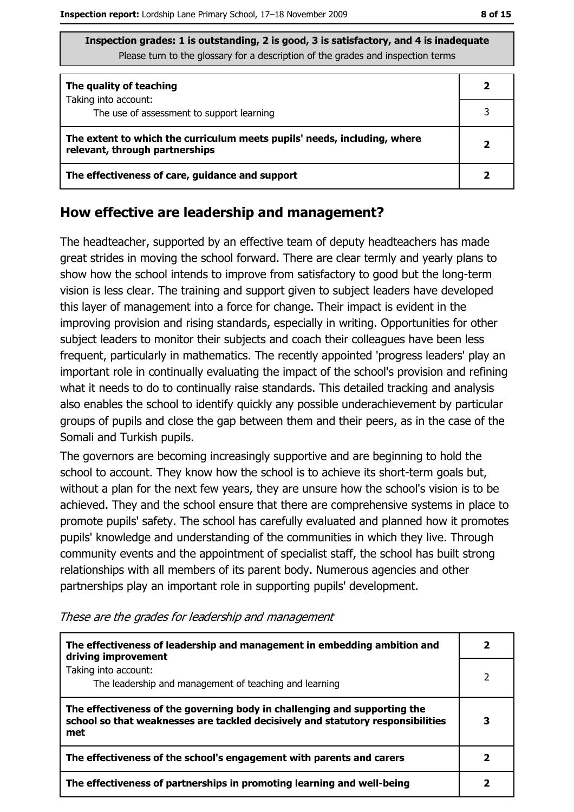| The quality of teaching                                                                                    |  |
|------------------------------------------------------------------------------------------------------------|--|
| Taking into account:<br>The use of assessment to support learning                                          |  |
|                                                                                                            |  |
| The extent to which the curriculum meets pupils' needs, including, where<br>relevant, through partnerships |  |
| The effectiveness of care, guidance and support                                                            |  |

#### How effective are leadership and management?

The headteacher, supported by an effective team of deputy headteachers has made great strides in moving the school forward. There are clear termly and yearly plans to show how the school intends to improve from satisfactory to good but the long-term vision is less clear. The training and support given to subject leaders have developed this layer of management into a force for change. Their impact is evident in the improving provision and rising standards, especially in writing. Opportunities for other subject leaders to monitor their subjects and coach their colleagues have been less frequent, particularly in mathematics. The recently appointed 'progress leaders' play an important role in continually evaluating the impact of the school's provision and refining what it needs to do to continually raise standards. This detailed tracking and analysis also enables the school to identify quickly any possible underachievement by particular groups of pupils and close the gap between them and their peers, as in the case of the Somali and Turkish pupils.

The governors are becoming increasingly supportive and are beginning to hold the school to account. They know how the school is to achieve its short-term goals but, without a plan for the next few years, they are unsure how the school's vision is to be achieved. They and the school ensure that there are comprehensive systems in place to promote pupils' safety. The school has carefully evaluated and planned how it promotes pupils' knowledge and understanding of the communities in which they live. Through community events and the appointment of specialist staff, the school has built strong relationships with all members of its parent body. Numerous agencies and other partnerships play an important role in supporting pupils' development.

| The effectiveness of leadership and management in embedding ambition and<br>driving improvement                                                                     |  |
|---------------------------------------------------------------------------------------------------------------------------------------------------------------------|--|
| Taking into account:<br>The leadership and management of teaching and learning                                                                                      |  |
| The effectiveness of the governing body in challenging and supporting the<br>school so that weaknesses are tackled decisively and statutory responsibilities<br>met |  |
| The effectiveness of the school's engagement with parents and carers                                                                                                |  |
| The effectiveness of partnerships in promoting learning and well-being                                                                                              |  |

These are the grades for leadership and management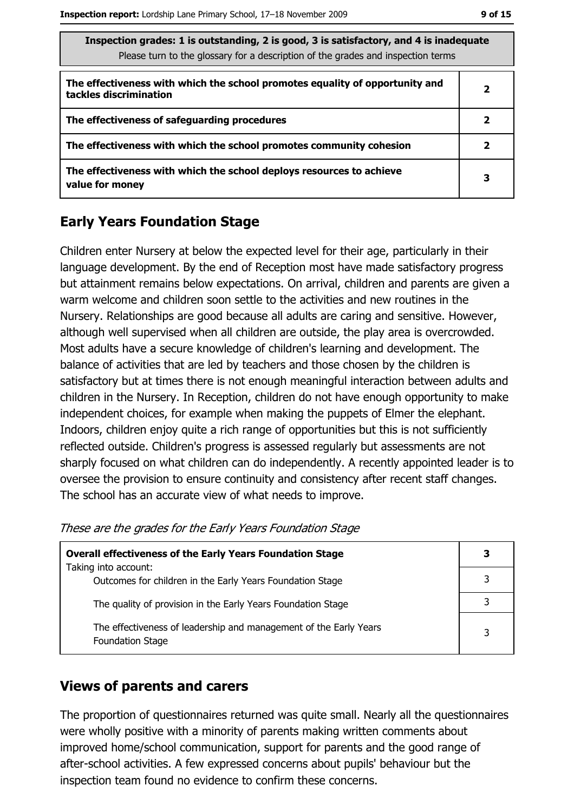$\mathbf{3}$ 

 $\overline{3}$ 

 $\overline{\mathbf{3}}$ 

3

| Inspection grades: 1 is outstanding, 2 is good, 3 is satisfactory, and 4 is inadequate<br>Please turn to the glossary for a description of the grades and inspection terms |              |  |
|----------------------------------------------------------------------------------------------------------------------------------------------------------------------------|--------------|--|
| The effectiveness with which the school promotes equality of opportunity and<br>tackles discrimination                                                                     | 2            |  |
| The effectiveness of safeguarding procedures                                                                                                                               | $\mathbf{2}$ |  |
| The effectiveness with which the school promotes community cohesion                                                                                                        | 2            |  |
| The effectiveness with which the school deploys resources to achieve<br>value for money                                                                                    | 3            |  |

## **Early Years Foundation Stage**

Children enter Nursery at below the expected level for their age, particularly in their language development. By the end of Reception most have made satisfactory progress but attainment remains below expectations. On arrival, children and parents are given a warm welcome and children soon settle to the activities and new routines in the Nursery. Relationships are good because all adults are caring and sensitive. However, although well supervised when all children are outside, the play area is overcrowded. Most adults have a secure knowledge of children's learning and development. The balance of activities that are led by teachers and those chosen by the children is satisfactory but at times there is not enough meaningful interaction between adults and children in the Nursery. In Reception, children do not have enough opportunity to make independent choices, for example when making the puppets of Elmer the elephant. Indoors, children enjoy quite a rich range of opportunities but this is not sufficiently reflected outside. Children's progress is assessed regularly but assessments are not sharply focused on what children can do independently. A recently appointed leader is to oversee the provision to ensure continuity and consistency after recent staff changes. The school has an accurate view of what needs to improve.

| <b>Overall effectiveness of the Early Years Foundation Stage</b>                             |  |
|----------------------------------------------------------------------------------------------|--|
| Taking into account:                                                                         |  |
| Outcomes for children in the Early Years Foundation Stage                                    |  |
| The quality of provision in the Early Years Foundation Stage                                 |  |
| The effectiveness of leadership and management of the Early Years<br><b>Foundation Stage</b> |  |

#### These are the grades for the Early Years Foundation Stage

### **Views of parents and carers**

The proportion of questionnaires returned was quite small. Nearly all the questionnaires were wholly positive with a minority of parents making written comments about improved home/school communication, support for parents and the good range of after-school activities. A few expressed concerns about pupils' behaviour but the inspection team found no evidence to confirm these concerns.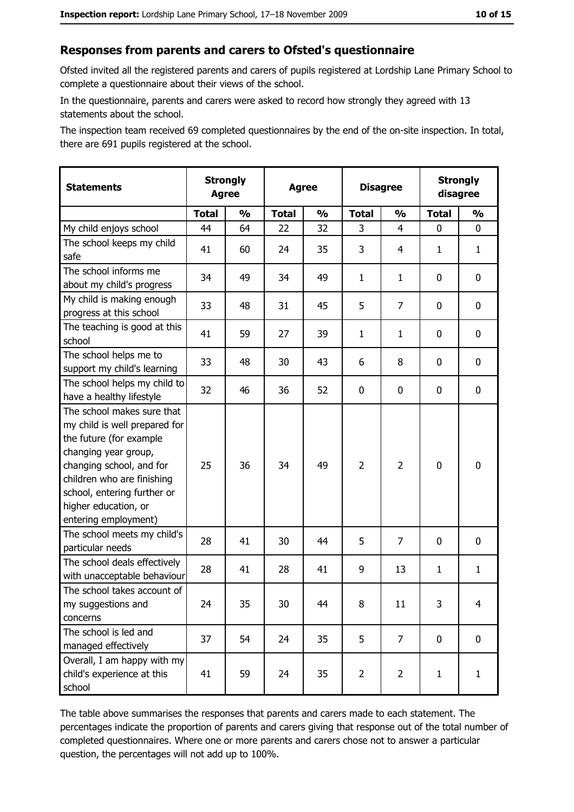#### Responses from parents and carers to Ofsted's questionnaire

Ofsted invited all the registered parents and carers of pupils registered at Lordship Lane Primary School to complete a questionnaire about their views of the school.

In the questionnaire, parents and carers were asked to record how strongly they agreed with 13 statements about the school.

The inspection team received 69 completed questionnaires by the end of the on-site inspection. In total, there are 691 pupils registered at the school.

| <b>Statements</b>                                                                                                                                                                                                                                       | <b>Strongly</b><br><b>Agree</b> |               | <b>Agree</b> |               |                |                | <b>Disagree</b> |                |  |  | <b>Strongly</b><br>disagree |  |
|---------------------------------------------------------------------------------------------------------------------------------------------------------------------------------------------------------------------------------------------------------|---------------------------------|---------------|--------------|---------------|----------------|----------------|-----------------|----------------|--|--|-----------------------------|--|
|                                                                                                                                                                                                                                                         | <b>Total</b>                    | $\frac{1}{2}$ | <b>Total</b> | $\frac{1}{2}$ | <b>Total</b>   | $\frac{0}{0}$  | <b>Total</b>    | $\frac{1}{2}$  |  |  |                             |  |
| My child enjoys school                                                                                                                                                                                                                                  | 44                              | 64            | 22           | 32            | 3              | 4              | 0               | $\mathbf 0$    |  |  |                             |  |
| The school keeps my child<br>safe                                                                                                                                                                                                                       | 41                              | 60            | 24           | 35            | 3              | 4              | 1               | $\mathbf{1}$   |  |  |                             |  |
| The school informs me<br>about my child's progress                                                                                                                                                                                                      | 34                              | 49            | 34           | 49            | $\mathbf{1}$   | 1              | $\mathbf{0}$    | 0              |  |  |                             |  |
| My child is making enough<br>progress at this school                                                                                                                                                                                                    | 33                              | 48            | 31           | 45            | 5              | 7              | 0               | 0              |  |  |                             |  |
| The teaching is good at this<br>school                                                                                                                                                                                                                  | 41                              | 59            | 27           | 39            | $\mathbf{1}$   | $\mathbf{1}$   | 0               | 0              |  |  |                             |  |
| The school helps me to<br>support my child's learning                                                                                                                                                                                                   | 33                              | 48            | 30           | 43            | 6              | 8              | 0               | $\mathbf 0$    |  |  |                             |  |
| The school helps my child to<br>have a healthy lifestyle                                                                                                                                                                                                | 32                              | 46            | 36           | 52            | $\mathbf 0$    | 0              | 0               | $\mathbf 0$    |  |  |                             |  |
| The school makes sure that<br>my child is well prepared for<br>the future (for example<br>changing year group,<br>changing school, and for<br>children who are finishing<br>school, entering further or<br>higher education, or<br>entering employment) | 25                              | 36            | 34           | 49            | $\overline{2}$ | $\overline{2}$ | $\mathbf 0$     | $\mathbf 0$    |  |  |                             |  |
| The school meets my child's<br>particular needs                                                                                                                                                                                                         | 28                              | 41            | 30           | 44            | 5              | 7              | $\Omega$        | $\mathbf 0$    |  |  |                             |  |
| The school deals effectively<br>with unacceptable behaviour                                                                                                                                                                                             | 28                              | 41            | 28           | 41            | 9              | 13             | $\mathbf{1}$    | $\mathbf{1}$   |  |  |                             |  |
| The school takes account of<br>my suggestions and<br>concerns                                                                                                                                                                                           | 24                              | 35            | 30           | 44            | 8              | 11             | 3               | $\overline{4}$ |  |  |                             |  |
| The school is led and<br>managed effectively                                                                                                                                                                                                            | 37                              | 54            | 24           | 35            | 5              | $\overline{7}$ | $\mathbf 0$     | $\mathbf 0$    |  |  |                             |  |
| Overall, I am happy with my<br>child's experience at this<br>school                                                                                                                                                                                     | 41                              | 59            | 24           | 35            | $\overline{2}$ | $\overline{2}$ | $\mathbf{1}$    | $\mathbf{1}$   |  |  |                             |  |

The table above summarises the responses that parents and carers made to each statement. The percentages indicate the proportion of parents and carers giving that response out of the total number of completed questionnaires. Where one or more parents and carers chose not to answer a particular question, the percentages will not add up to 100%.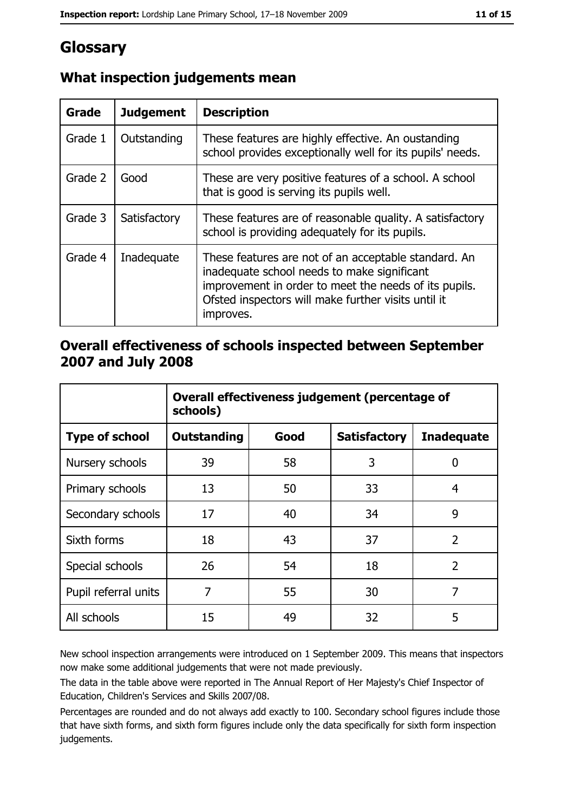# Glossary

| <b>Grade</b> | <b>Judgement</b> | <b>Description</b>                                                                                                                                                                                                               |
|--------------|------------------|----------------------------------------------------------------------------------------------------------------------------------------------------------------------------------------------------------------------------------|
| Grade 1      | Outstanding      | These features are highly effective. An oustanding<br>school provides exceptionally well for its pupils' needs.                                                                                                                  |
| Grade 2      | Good             | These are very positive features of a school. A school<br>that is good is serving its pupils well.                                                                                                                               |
| Grade 3      | Satisfactory     | These features are of reasonable quality. A satisfactory<br>school is providing adequately for its pupils.                                                                                                                       |
| Grade 4      | Inadequate       | These features are not of an acceptable standard. An<br>inadequate school needs to make significant<br>improvement in order to meet the needs of its pupils.<br>Ofsted inspectors will make further visits until it<br>improves. |

## What inspection judgements mean

## Overall effectiveness of schools inspected between September 2007 and July 2008

|                       | Overall effectiveness judgement (percentage of<br>schools) |      |                     |                   |  |
|-----------------------|------------------------------------------------------------|------|---------------------|-------------------|--|
| <b>Type of school</b> | Outstanding                                                | Good | <b>Satisfactory</b> | <b>Inadequate</b> |  |
| Nursery schools       | 39                                                         | 58   | 3                   | 0                 |  |
| Primary schools       | 13                                                         | 50   | 33                  | 4                 |  |
| Secondary schools     | 17                                                         | 40   | 34                  | 9                 |  |
| Sixth forms           | 18                                                         | 43   | 37                  | $\overline{2}$    |  |
| Special schools       | 26                                                         | 54   | 18                  | $\overline{2}$    |  |
| Pupil referral units  | 7                                                          | 55   | 30                  | 7                 |  |
| All schools           | 15                                                         | 49   | 32                  | 5                 |  |

New school inspection arrangements were introduced on 1 September 2009. This means that inspectors now make some additional judgements that were not made previously.

The data in the table above were reported in The Annual Report of Her Majesty's Chief Inspector of Education, Children's Services and Skills 2007/08.

Percentages are rounded and do not always add exactly to 100. Secondary school figures include those that have sixth forms, and sixth form figures include only the data specifically for sixth form inspection judgements.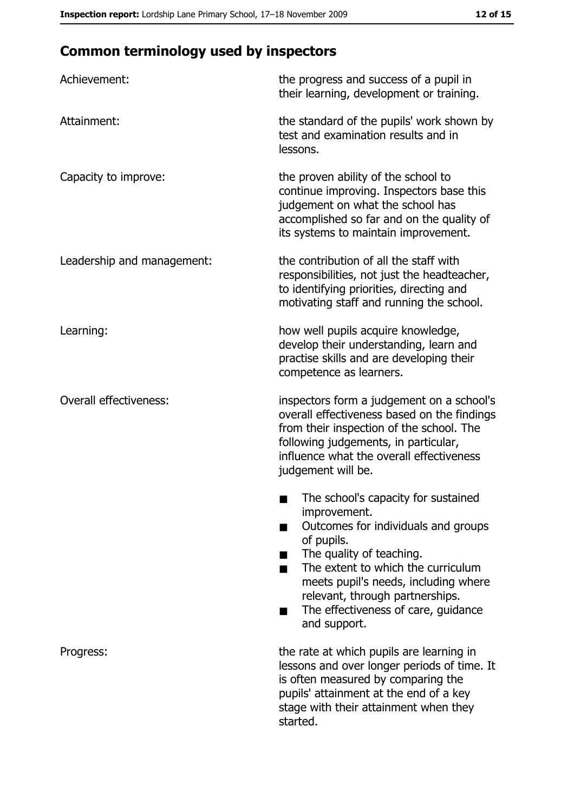# **Common terminology used by inspectors**

| Achievement:                  | the progress and success of a pupil in<br>their learning, development or training.                                                                                                                                                                                                                           |
|-------------------------------|--------------------------------------------------------------------------------------------------------------------------------------------------------------------------------------------------------------------------------------------------------------------------------------------------------------|
| Attainment:                   | the standard of the pupils' work shown by<br>test and examination results and in<br>lessons.                                                                                                                                                                                                                 |
| Capacity to improve:          | the proven ability of the school to<br>continue improving. Inspectors base this<br>judgement on what the school has<br>accomplished so far and on the quality of<br>its systems to maintain improvement.                                                                                                     |
| Leadership and management:    | the contribution of all the staff with<br>responsibilities, not just the headteacher,<br>to identifying priorities, directing and<br>motivating staff and running the school.                                                                                                                                |
| Learning:                     | how well pupils acquire knowledge,<br>develop their understanding, learn and<br>practise skills and are developing their<br>competence as learners.                                                                                                                                                          |
| <b>Overall effectiveness:</b> | inspectors form a judgement on a school's<br>overall effectiveness based on the findings<br>from their inspection of the school. The<br>following judgements, in particular,<br>influence what the overall effectiveness<br>judgement will be.                                                               |
|                               | The school's capacity for sustained<br>improvement.<br>Outcomes for individuals and groups<br>of pupils.<br>The quality of teaching.<br>The extent to which the curriculum<br>meets pupil's needs, including where<br>relevant, through partnerships.<br>The effectiveness of care, guidance<br>and support. |
| Progress:                     | the rate at which pupils are learning in<br>lessons and over longer periods of time. It<br>is often measured by comparing the<br>pupils' attainment at the end of a key<br>stage with their attainment when they<br>started.                                                                                 |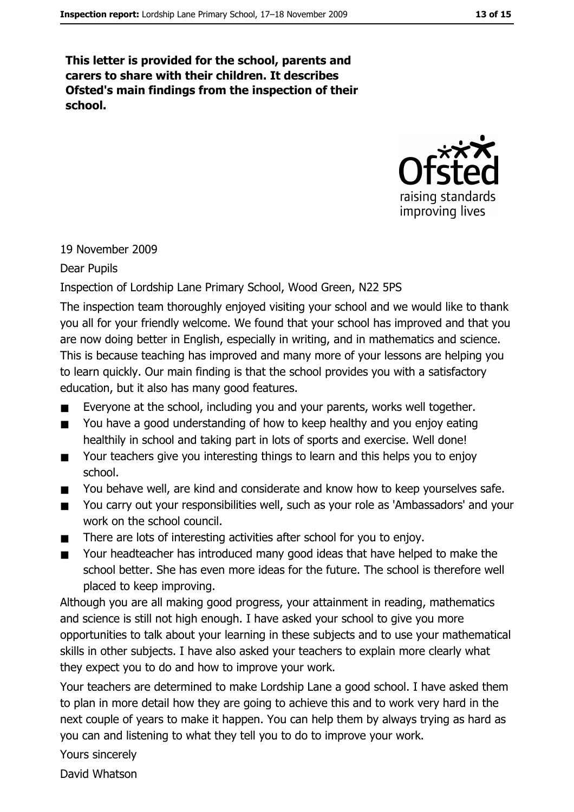This letter is provided for the school, parents and carers to share with their children. It describes Ofsted's main findings from the inspection of their school.



#### 19 November 2009

#### Dear Pupils

#### Inspection of Lordship Lane Primary School, Wood Green, N22 5PS

The inspection team thoroughly enjoyed visiting your school and we would like to thank you all for your friendly welcome. We found that your school has improved and that you are now doing better in English, especially in writing, and in mathematics and science. This is because teaching has improved and many more of your lessons are helping you to learn quickly. Our main finding is that the school provides you with a satisfactory education, but it also has many good features.

- Everyone at the school, including you and your parents, works well together.  $\blacksquare$
- You have a good understanding of how to keep healthy and you enjoy eating healthily in school and taking part in lots of sports and exercise. Well done!
- Your teachers give you interesting things to learn and this helps you to enjoy  $\blacksquare$ school.
- You behave well, are kind and considerate and know how to keep yourselves safe.  $\blacksquare$
- You carry out your responsibilities well, such as your role as 'Ambassadors' and your  $\blacksquare$ work on the school council.
- There are lots of interesting activities after school for you to enjoy.
- Your headteacher has introduced many good ideas that have helped to make the school better. She has even more ideas for the future. The school is therefore well placed to keep improving.

Although you are all making good progress, your attainment in reading, mathematics and science is still not high enough. I have asked your school to give you more opportunities to talk about your learning in these subjects and to use your mathematical skills in other subjects. I have also asked your teachers to explain more clearly what they expect you to do and how to improve your work.

Your teachers are determined to make Lordship Lane a good school. I have asked them to plan in more detail how they are going to achieve this and to work very hard in the next couple of years to make it happen. You can help them by always trying as hard as you can and listening to what they tell you to do to improve your work.

Yours sincerely

David Whatson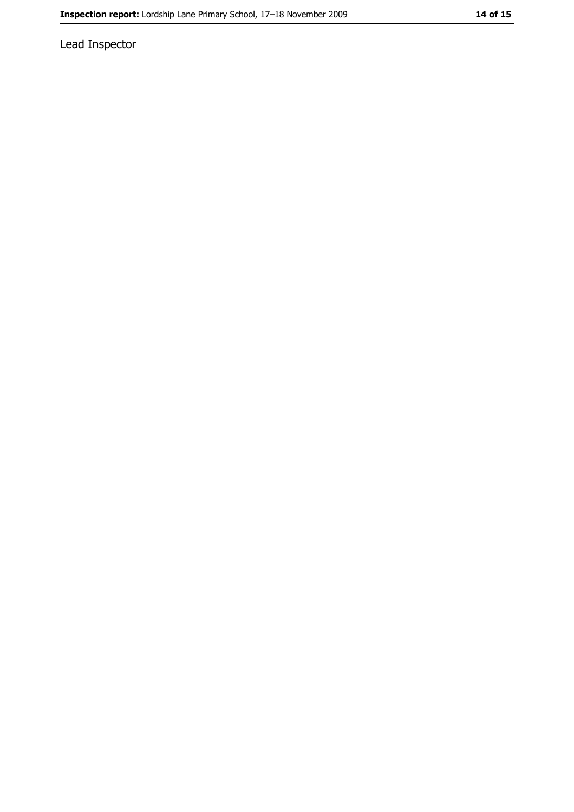Lead Inspector